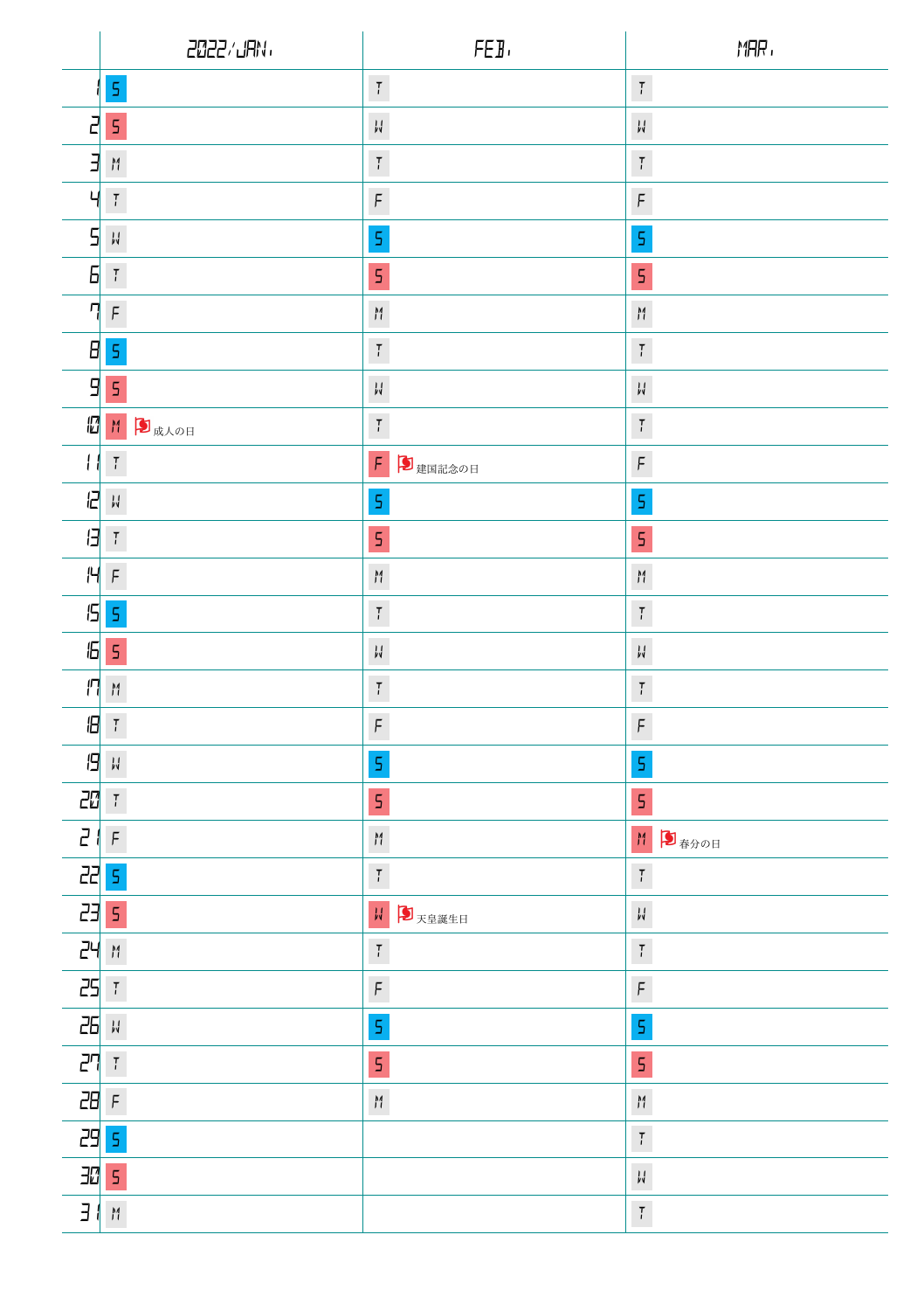|                       | 2022/JAN                             | FEB.                                 | MAR,                                               |
|-----------------------|--------------------------------------|--------------------------------------|----------------------------------------------------|
|                       | $\mathsf S$                          | $\,$ $\,$ $\,$                       | $\overline{l}$                                     |
| 2                     | $\mathsf S$                          | $\mathcal{V}^I$                      | $\mathcal{V}^{\dagger}_{\mathbf{A}}$               |
| E                     | $\mathcal{M}$                        | $\overline{t}$                       | $\overline{l}$                                     |
| Ч                     | $\mathbb T$                          | $\operatorname{\mathsf{F}}$          | F                                                  |
| 5                     | $_{\nu}^{\rm I}$                     | 5                                    | 5                                                  |
| Б                     | $\mathbb T$                          | 5                                    | 5                                                  |
| η                     | $\, \mathsf F$                       | $\mathcal{M}$                        | $\mathop{H}\limits^{\mathop{\mathsf{M}}\nolimits}$ |
|                       | $H \succeq$                          | $\overline{I}$                       | $\overline{l}$                                     |
| 9                     | $\mathsf S$                          | W                                    | $\frac{1}{N}$                                      |
| 個                     | M 5成人の日                              | $\overline{t}$                       | $\overline{l}$                                     |
| Н                     | $\mathbb T$                          | $\mathsf F$<br>り建国記念の日               | $\operatorname{\mathsf{F}}$                        |
| B                     | $_{\nu}^{\rm I}$                     | $\mathsf S$                          | 5                                                  |
| $\boldsymbol{\theta}$ | $\mathcal{T}$                        | 5                                    | 5                                                  |
| H                     | $\, \mathsf F$                       | M                                    | $\mathcal{M}$                                      |
|                       | 55                                   | $\overline{t}$                       | $\overline{l}$                                     |
| 15                    | $\mathsf S$                          | $\mathcal{V}^{\dagger}_{\mathbf{A}}$ | $\downarrow$                                       |
| 丹                     | $\mathcal{M}$                        | $\overline{t}$                       | $\overline{l}$                                     |
| $\mathbf{B}$          | $\mathbb T$                          | $\operatorname{\mathsf{F}}$          | $\digamma$                                         |
| 19                    | $\mathcal{V}^{\dagger}_{\mathbf{N}}$ | 5                                    | 5                                                  |
| 20                    | $\mathcal T$                         | 5                                    | 5                                                  |
| $\overline{c}$        | $\, \mathsf F$                       | $\boldsymbol{\mathsf{M}}$            | M<br>■春分の日                                         |
| 22 5                  |                                      | $\overline{t}$                       | $\overline{l}$                                     |
| 23                    | $\mathsf S$                          | W<br>力天皇誕生日                          | $\downarrow$                                       |
| 24                    | $\mathcal{M}$                        | $\overline{l}$                       | $\overline{l}$                                     |
| 25                    | $\ensuremath{\mathsf{T}}$            | $\operatorname{\mathsf{F}}$          | F                                                  |
| 26                    | $\frac{1}{p\sqrt{2}}$                | $\mathsf S$                          | $\overline{\mathsf{S}}$                            |
| 괴                     | $\mathbb T$                          | 5                                    | 5                                                  |
| 28F                   |                                      | $\overline{M}$                       | M                                                  |
| 29 5                  |                                      |                                      | $\overline{l}$                                     |
| 305                   |                                      |                                      | $\mathcal{V}$                                      |
| $\overline{H}$        | $\boldsymbol{\upmu}$                 |                                      | $\overline{l}$                                     |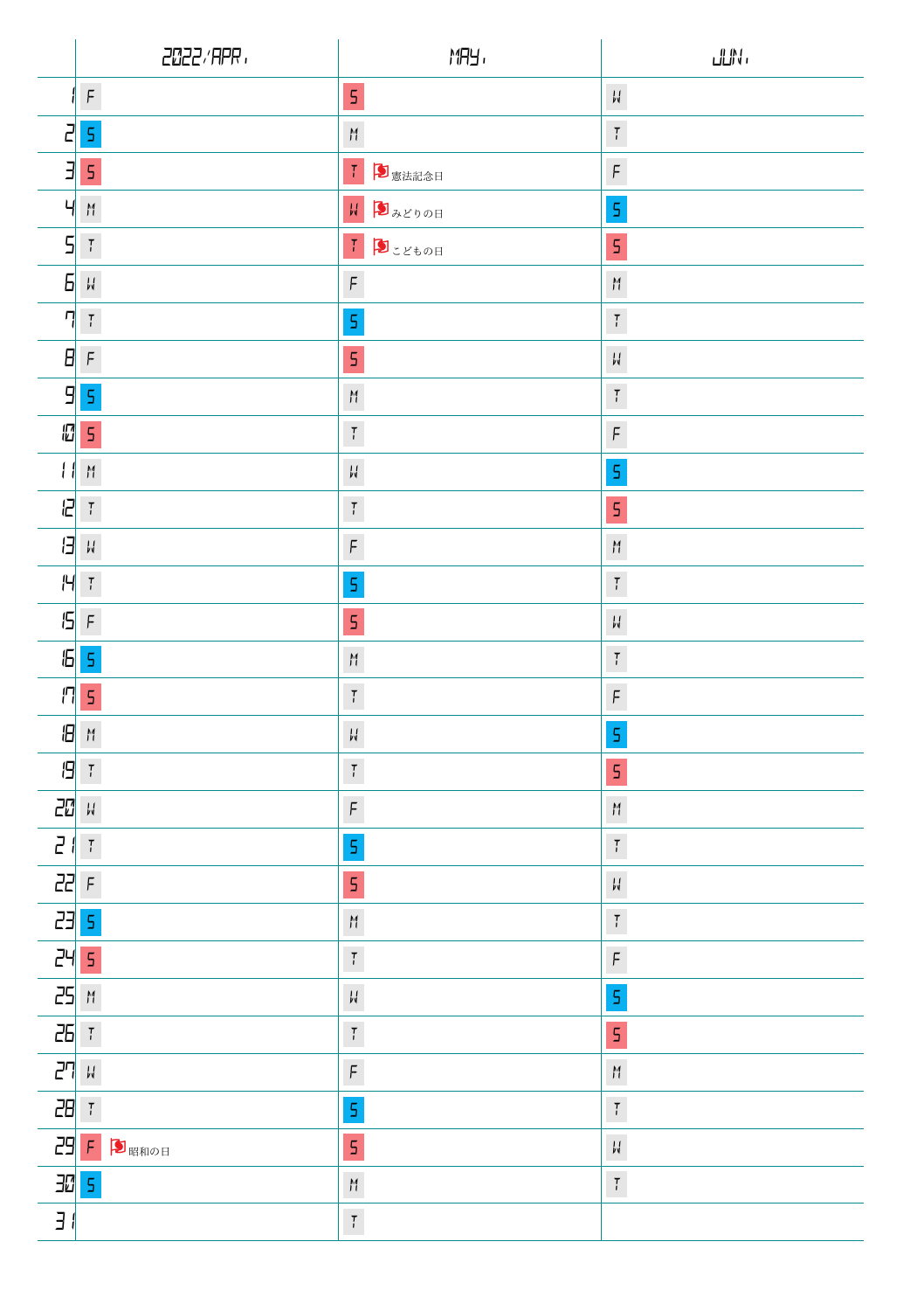|                 | 2022/APR.                            | <b>MRY,</b>                                                                     | ullN.                                                                                                                          |
|-----------------|--------------------------------------|---------------------------------------------------------------------------------|--------------------------------------------------------------------------------------------------------------------------------|
|                 | $\digamma$                           | $\mathsf S$                                                                     | $\frac{1}{\nu}$                                                                                                                |
| 5               | $\mathsf S$                          | M                                                                               | $\overline{l}$                                                                                                                 |
| E               | 5                                    | Ⅰ 5 志法記念日                                                                       | $\digamma$                                                                                                                     |
| Ч               | M                                    | <b>HD 3200H</b>                                                                 | $\mathsf S$                                                                                                                    |
| 5               | $\mathcal T$                         | $I$ $3.500$                                                                     | 5                                                                                                                              |
| 5               | $\mathcal{V}^{\dagger}_{\mathbf{A}}$ | $\operatorname{\mathsf{F}}$                                                     | $\boldsymbol{\mathcal{M}}$                                                                                                     |
| η               | $\overline{l}$                       | $\mathsf S$                                                                     | $\overline{t}$                                                                                                                 |
| 8               | $\digamma$                           | $\mathsf S$                                                                     | $_{\nu}^{\rm I}$                                                                                                               |
| 9               | $\mathsf S$                          | ${\tt M}$                                                                       | $\overline{l}$                                                                                                                 |
| 個               | 5                                    | $\overline{I}$                                                                  | $\digamma$                                                                                                                     |
| Н               | M                                    | $\mathcal{V}^I$                                                                 | $\mathsf S$                                                                                                                    |
| a               | $\mathcal{T}$                        | $\overline{I}$                                                                  | 5                                                                                                                              |
| В               | $\mathcal{U}$                        | $\digamma$                                                                      | $\mathop{H}\limits^{\mathop{\scriptstyle\mathsf{M}}\limits}_{\mathop{\scriptstyle\mathsf{I}}\mathop{\scriptstyle\mathsf{I}}}}$ |
| Н               | $\frac{7}{l}$                        | $\mathsf S$                                                                     | $\overline{l}$                                                                                                                 |
| 15              | $\,\mathsf F\,$                      | $\mathsf S$                                                                     | $\frac{1}{N}$                                                                                                                  |
| 15              | $\mathsf S$                          | $\mathop{}_{\textstyle \prime}^{\textstyle \prime\prime}$                       | $\overline{l}$                                                                                                                 |
| П               | 5                                    | $\overline{I}$                                                                  | $\operatorname{\mathsf{F}}$                                                                                                    |
| 旧               | $\mathcal{M}$                        | $\mathcal{V}^I_{\mathbf{A}}$                                                    | $\mathsf S$                                                                                                                    |
| 19              | $\mathcal{T}$                        | $\overline{t}$                                                                  | 5                                                                                                                              |
| 20 M            |                                      | $\digamma$                                                                      | $\mathcal{M}$                                                                                                                  |
| 21              | $\frac{1}{l}$                        | $\mathsf S$                                                                     | $\overline{l}$                                                                                                                 |
| 22 F            |                                      | $\mathsf S$                                                                     | $\frac{1}{\nu}$                                                                                                                |
| 23              | $\mathsf S$                          | $\,eta$                                                                         | $\overline{l}$                                                                                                                 |
| 24              | $\mathsf S$                          | $\overline{t}$                                                                  | $\operatorname{\mathsf{F}}$                                                                                                    |
| 25              | $\mathcal{M}$                        | $\mathcal{V}^I_{\mathbf{A}}$                                                    | $\mathsf S$                                                                                                                    |
| 26 T            |                                      | $\overline{I}$                                                                  | Ó                                                                                                                              |
| 27 <sub>W</sub> |                                      | $\operatorname{\mathsf{F}}$                                                     | $\boldsymbol{\uparrow}$                                                                                                        |
| 28 T            |                                      | $\mathsf S$                                                                     | $\overline{l}$                                                                                                                 |
| 29 F            | ■昭和の日                                | 5                                                                               | $\frac{1}{N}$                                                                                                                  |
| 30 5            |                                      | $\mathop{H}\limits^{\mathop{\mathsf{M}}\limits}_{\mathop{\mathsf{I}}\nolimits}$ | $\overline{l}$                                                                                                                 |
| $\exists$       |                                      | $\overline{t}$                                                                  |                                                                                                                                |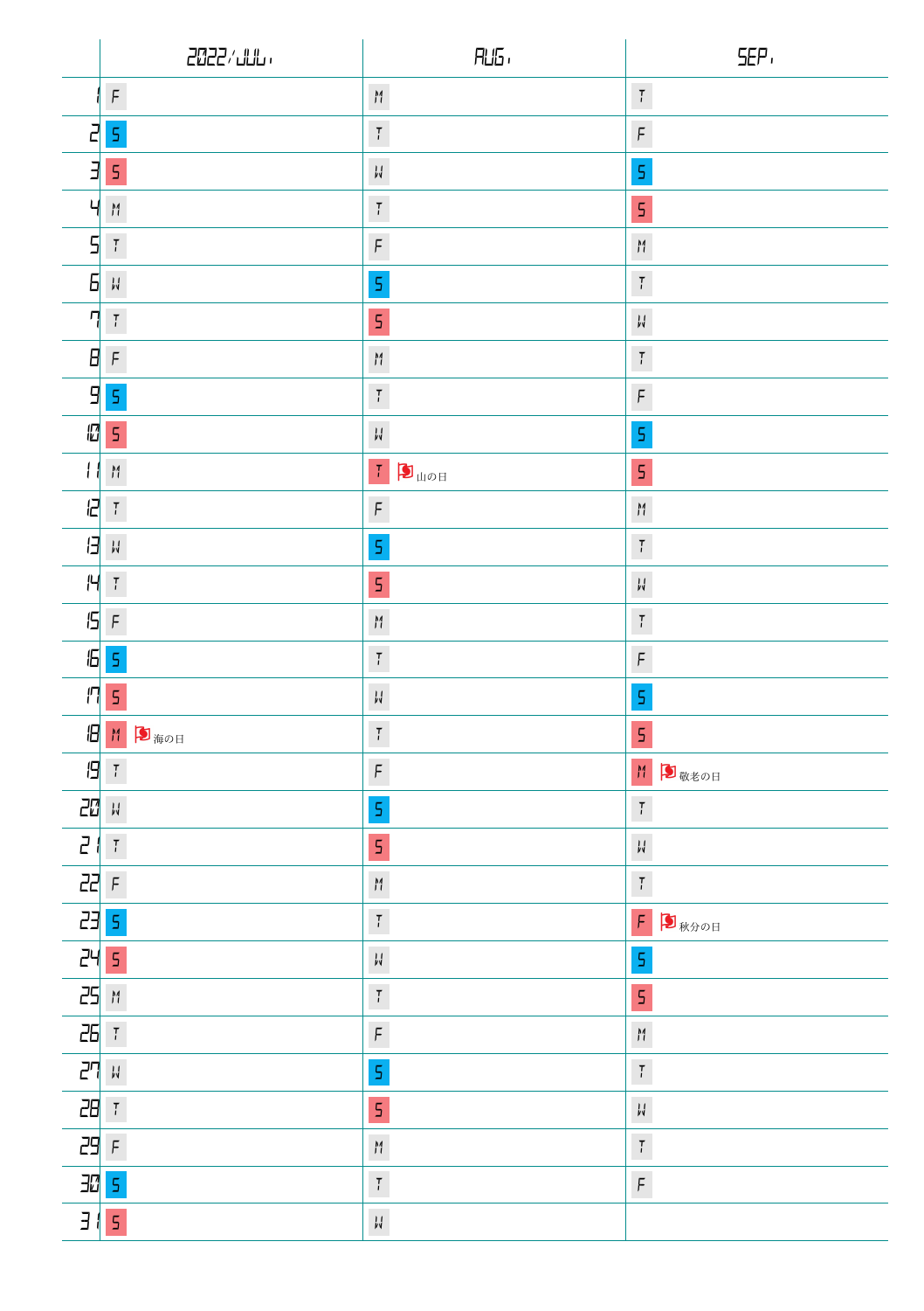|               | 2022/111                                                                                                                       | $R\_5$                                                    | SEP,                                     |
|---------------|--------------------------------------------------------------------------------------------------------------------------------|-----------------------------------------------------------|------------------------------------------|
|               | $\digamma$                                                                                                                     | $\boldsymbol{\mathcal{M}}$                                | $\overline{t}$                           |
| 2             | 5                                                                                                                              | $\,$ $\,$ $\,$                                            | $\digamma$                               |
| $\exists$     | 5                                                                                                                              | $\downarrow\downarrow$                                    | 5                                        |
| Ч             | $\mathop{H}\limits^{\mathop{\sf M}\limits_{\sf n}}$                                                                            | $\boldsymbol{\mathcal{T}}$                                | 5                                        |
| 5             | $\ensuremath{\mathsf{T}}$                                                                                                      | $\operatorname{\mathsf{F}}$                               | M                                        |
| 6             | $\frac{1}{p} \frac{d}{q}$                                                                                                      | $\mathsf S$                                               | $\mathbb T$                              |
| η             | $\overline{l}$                                                                                                                 | $\mathsf S$                                               | $\mathcal{V}$                            |
| Β             | $\operatorname{\mathsf{F}}$                                                                                                    | $\mathop{}_{\textstyle\prime}^{\textstyle\mathop{\sf M}}$ | $\overline{l}$                           |
| 9             | 5                                                                                                                              | $\boldsymbol{\mathcal{T}}$                                | $\digamma$                               |
| 個             | 5                                                                                                                              | $\mathcal{V}^{\mathcal{I}}_{\mathbf{v}}$                  | $\mathsf S$                              |
| Н             | $\mathop{H}\limits^{\mathop{\scriptstyle\mathsf{M}}\limits}_{\mathop{\scriptstyle\mathsf{I}}\mathop{\scriptstyle\mathsf{I}}}}$ | $\left\vert T\right\vert$<br>$\blacksquare$               | 5                                        |
| B             | $\mathbb T$                                                                                                                    | $\, \mathsf F$                                            | $\uparrow$                               |
| Θ             | $_{\nu}^{\rm I}$                                                                                                               | $\mathsf S$                                               | $\overline{t}$                           |
| H             | $\,$ $\,$ $\,$                                                                                                                 | 5                                                         | $\mathop{\downarrow}\mathop{\downarrow}$ |
| 15            | $\operatorname{\mathsf{F}}$                                                                                                    | $\boldsymbol{\mathcal{M}}$                                | $\overline{t}$                           |
| 6             | 5                                                                                                                              | $\mathcal T$                                              | $\digamma$                               |
| П             | 5                                                                                                                              | $\mathcal{V}^I_{\mathbf{A}}$                              | $\mathsf S$                              |
| В             | M<br>■海の日                                                                                                                      | $\overline{t}$                                            | 5                                        |
| 19            | $\ensuremath{\mathsf{T}}$                                                                                                      | $\overline{F}$                                            | M<br>■敬老の日                               |
| 20            | $_{\nu}^{\rm I}$                                                                                                               | $\mathsf S$                                               | $\overline{l}$                           |
| $\mathcal{L}$ | $\overline{t}$                                                                                                                 | 5                                                         | $\mathcal{V}$                            |
| 22            | $\digamma$                                                                                                                     | $\boldsymbol{\mathcal{M}}$                                | $\overline{I}$                           |
| 23            | $\mathsf S$                                                                                                                    | $\boldsymbol{\mathcal{T}}$                                | $\mathsf F$<br>■秋分の日                     |
| 24            | $\mathsf S$                                                                                                                    | $\mathcal{V}^{\mathcal{I}}_{\mathbf{v}}$                  | $\sf S$                                  |
| 25            | $\boldsymbol{\mathcal{M}}$                                                                                                     | $\mathbb T$                                               | 5                                        |
| 26 7          |                                                                                                                                | $\bar{\mathsf{F}}$                                        | $\boldsymbol{\mathcal{M}}$               |
| 27 H          |                                                                                                                                | $\mathsf S$                                               | $\overline{l}$                           |
| 래 1           |                                                                                                                                | 5                                                         | $\mathcal{V}$                            |
| 29 F          |                                                                                                                                | $\boldsymbol{\mathcal{M}}$                                | $\overline{l}$                           |
| 邔             | $\mathsf S$                                                                                                                    | $\mathcal{T}_i$                                           | $\operatorname{\mathsf{F}}$              |
| $\exists$     | 5                                                                                                                              | $\overline{\mathcal{W}}$                                  |                                          |